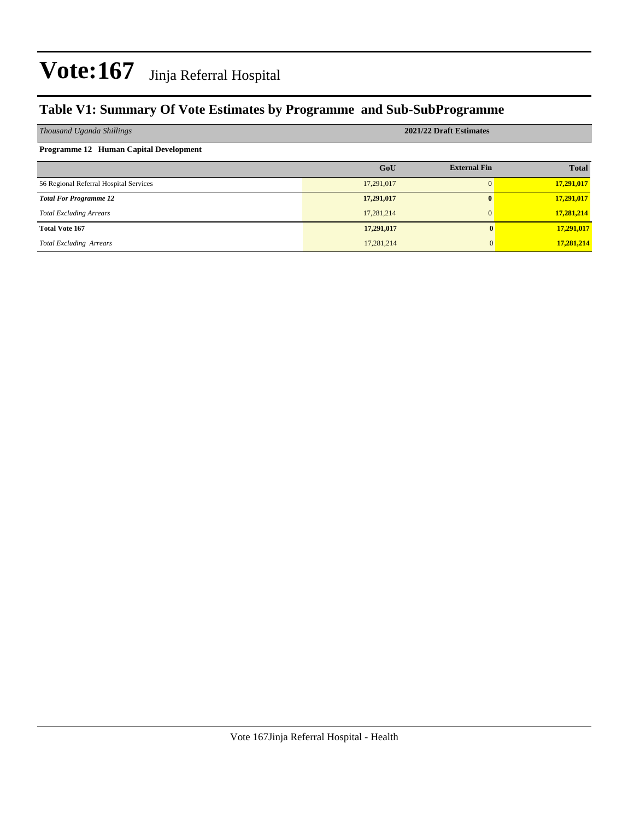### **Table V1: Summary Of Vote Estimates by Programme and Sub-SubProgramme**

| Thousand Uganda Shillings              | 2021/22 Draft Estimates |                     |              |  |  |  |  |  |
|----------------------------------------|-------------------------|---------------------|--------------|--|--|--|--|--|
| Programme 12 Human Capital Development |                         |                     |              |  |  |  |  |  |
|                                        | GoU                     | <b>External Fin</b> | <b>Total</b> |  |  |  |  |  |
| 56 Regional Referral Hospital Services | 17,291,017              | $\Omega$            | 17,291,017   |  |  |  |  |  |
| <b>Total For Programme 12</b>          | 17,291,017              | $\mathbf{0}$        | 17,291,017   |  |  |  |  |  |
| <b>Total Excluding Arrears</b>         | 17.281.214              | $\Omega$            | 17,281,214   |  |  |  |  |  |
| <b>Total Vote 167</b>                  | 17,291,017              |                     | 17,291,017   |  |  |  |  |  |
| <b>Total Excluding Arrears</b>         | 17,281,214              |                     | 17,281,214   |  |  |  |  |  |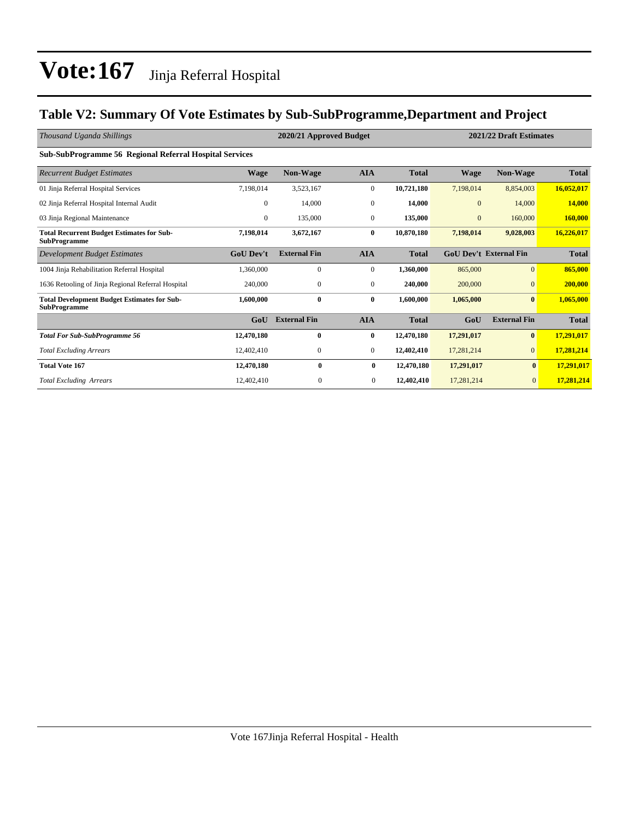### **Table V2: Summary Of Vote Estimates by Sub-SubProgramme,Department and Project**

| Thousand Uganda Shillings                                                 |                  | 2020/21 Approved Budget |                  |              | 2021/22 Draft Estimates |                               |              |  |
|---------------------------------------------------------------------------|------------------|-------------------------|------------------|--------------|-------------------------|-------------------------------|--------------|--|
| Sub-SubProgramme 56 Regional Referral Hospital Services                   |                  |                         |                  |              |                         |                               |              |  |
| <b>Recurrent Budget Estimates</b>                                         | <b>Wage</b>      | <b>Non-Wage</b>         | <b>AIA</b>       | <b>Total</b> | Wage                    | <b>Non-Wage</b>               | <b>Total</b> |  |
| 01 Jinja Referral Hospital Services                                       | 7,198,014        | 3,523,167               | $\boldsymbol{0}$ | 10,721,180   | 7,198,014               | 8,854,003                     | 16,052,017   |  |
| 02 Jinja Referral Hospital Internal Audit                                 | $\mathbf{0}$     | 14,000                  | $\boldsymbol{0}$ | 14,000       | $\mathbf{0}$            | 14,000                        | 14,000       |  |
| 03 Jinja Regional Maintenance                                             | $\mathbf{0}$     | 135,000                 | $\mathbf{0}$     | 135,000      | $\mathbf{0}$            | 160,000                       | 160,000      |  |
| <b>Total Recurrent Budget Estimates for Sub-</b><br><b>SubProgramme</b>   | 7,198,014        | 3,672,167               | $\bf{0}$         | 10,870,180   | 7,198,014               | 9,028,003                     | 16,226,017   |  |
| Development Budget Estimates                                              | <b>GoU</b> Dev't | <b>External Fin</b>     | <b>AIA</b>       | <b>Total</b> |                         | <b>GoU Dev't External Fin</b> | <b>Total</b> |  |
| 1004 Jinja Rehabilitation Referral Hospital                               | 1,360,000        | $\mathbf{0}$            | $\mathbf{0}$     | 1,360,000    | 865,000                 | $\overline{0}$                | 865,000      |  |
| 1636 Retooling of Jinja Regional Referral Hospital                        | 240,000          | 0                       | $\mathbf{0}$     | 240,000      | 200,000                 | $\mathbf{0}$                  | 200,000      |  |
| <b>Total Development Budget Estimates for Sub-</b><br><b>SubProgramme</b> | 1,600,000        | $\bf{0}$                | $\bf{0}$         | 1,600,000    | 1,065,000               | $\bf{0}$                      | 1,065,000    |  |
|                                                                           | GoU              | <b>External Fin</b>     | <b>AIA</b>       | <b>Total</b> | GoU                     | <b>External Fin</b>           | <b>Total</b> |  |
| <b>Total For Sub-SubProgramme 56</b>                                      | 12,470,180       | $\bf{0}$                | $\bf{0}$         | 12,470,180   | 17,291,017              | $\bf{0}$                      | 17,291,017   |  |
| <b>Total Excluding Arrears</b>                                            | 12,402,410       | 0                       | $\mathbf{0}$     | 12,402,410   | 17,281,214              | $\overline{0}$                | 17,281,214   |  |
| <b>Total Vote 167</b>                                                     | 12,470,180       | $\bf{0}$                | $\bf{0}$         | 12,470,180   | 17,291,017              | $\bf{0}$                      | 17,291,017   |  |
| <b>Total Excluding Arrears</b>                                            | 12,402,410       | $\mathbf{0}$            | $\overline{0}$   | 12,402,410   | 17,281,214              | $\overline{0}$                | 17,281,214   |  |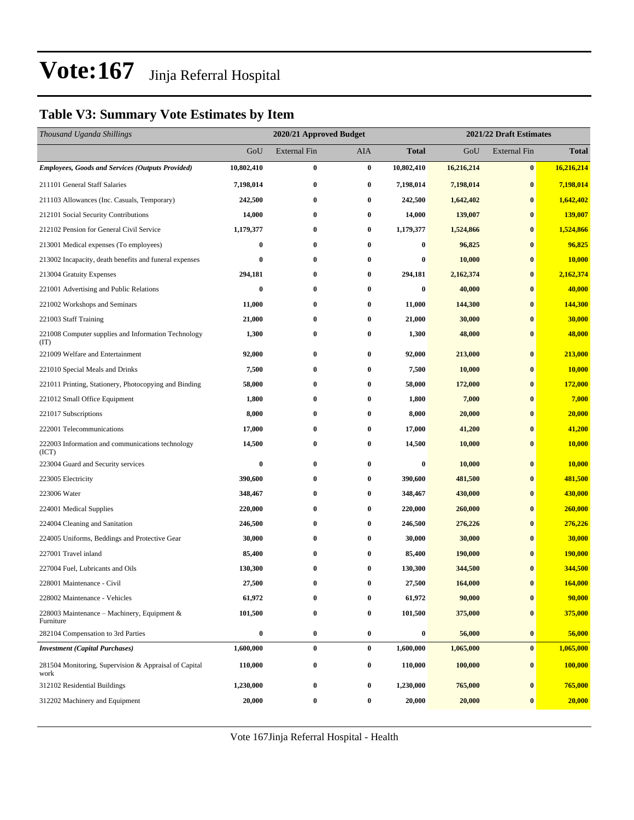### **Table V3: Summary Vote Estimates by Item**

| Thousand Uganda Shillings                                     |                  | 2020/21 Approved Budget |                  |                  |            | 2021/22 Draft Estimates |              |
|---------------------------------------------------------------|------------------|-------------------------|------------------|------------------|------------|-------------------------|--------------|
|                                                               | GoU              | <b>External Fin</b>     | <b>AIA</b>       | <b>Total</b>     | GoU        | <b>External Fin</b>     | <b>Total</b> |
| <b>Employees, Goods and Services (Outputs Provided)</b>       | 10,802,410       | $\bf{0}$                | $\bf{0}$         | 10,802,410       | 16,216,214 | $\bf{0}$                | 16,216,214   |
| 211101 General Staff Salaries                                 | 7,198,014        | $\bf{0}$                | 0                | 7,198,014        | 7,198,014  | $\bf{0}$                | 7,198,014    |
| 211103 Allowances (Inc. Casuals, Temporary)                   | 242,500          | $\bf{0}$                | $\bf{0}$         | 242,500          | 1,642,402  | $\bf{0}$                | 1,642,402    |
| 212101 Social Security Contributions                          | 14,000           | $\bf{0}$                | $\bf{0}$         | 14,000           | 139,007    | $\bf{0}$                | 139,007      |
| 212102 Pension for General Civil Service                      | 1,179,377        | $\bf{0}$                | $\bf{0}$         | 1,179,377        | 1,524,866  | $\bf{0}$                | 1,524,866    |
| 213001 Medical expenses (To employees)                        | $\bf{0}$         | $\bf{0}$                | $\bf{0}$         | $\bf{0}$         | 96,825     | $\bf{0}$                | 96,825       |
| 213002 Incapacity, death benefits and funeral expenses        | $\bf{0}$         | $\bf{0}$                | 0                | 0                | 10,000     | $\bf{0}$                | 10,000       |
| 213004 Gratuity Expenses                                      | 294,181          | $\bf{0}$                | $\bf{0}$         | 294,181          | 2,162,374  | $\bf{0}$                | 2,162,374    |
| 221001 Advertising and Public Relations                       | $\bf{0}$         | $\bf{0}$                | $\bf{0}$         | $\bf{0}$         | 40,000     | $\bf{0}$                | 40,000       |
| 221002 Workshops and Seminars                                 | 11,000           | $\bf{0}$                | 0                | 11,000           | 144,300    | $\bf{0}$                | 144,300      |
| 221003 Staff Training                                         | 21,000           | $\bf{0}$                | $\bf{0}$         | 21,000           | 30,000     | $\bf{0}$                | 30,000       |
| 221008 Computer supplies and Information Technology<br>(TT)   | 1,300            | $\bf{0}$                | 0                | 1,300            | 48,000     | $\bf{0}$                | 48,000       |
| 221009 Welfare and Entertainment                              | 92,000           | $\bf{0}$                | $\bf{0}$         | 92,000           | 213,000    | $\bf{0}$                | 213,000      |
| 221010 Special Meals and Drinks                               | 7,500            | $\bf{0}$                | 0                | 7,500            | 10,000     | $\bf{0}$                | 10,000       |
| 221011 Printing, Stationery, Photocopying and Binding         | 58,000           | $\bf{0}$                | $\bf{0}$         | 58,000           | 172,000    | $\bf{0}$                | 172,000      |
| 221012 Small Office Equipment                                 | 1,800            | $\bf{0}$                | $\bf{0}$         | 1,800            | 7,000      | $\bf{0}$                | 7,000        |
| 221017 Subscriptions                                          | 8,000            | $\bf{0}$                | $\bf{0}$         | 8,000            | 20,000     | $\bf{0}$                | 20,000       |
| 222001 Telecommunications                                     | 17,000           | $\bf{0}$                | 0                | 17,000           | 41,200     | $\bf{0}$                | 41,200       |
| 222003 Information and communications technology<br>(ICT)     | 14,500           | $\bf{0}$                | $\bf{0}$         | 14,500           | 10,000     | $\bf{0}$                | 10,000       |
| 223004 Guard and Security services                            | $\bf{0}$         | $\bf{0}$                | $\bf{0}$         | $\bf{0}$         | 10,000     | $\bf{0}$                | 10,000       |
| 223005 Electricity                                            | 390,600          | $\bf{0}$                | $\bf{0}$         | 390,600          | 481,500    | $\bf{0}$                | 481,500      |
| 223006 Water                                                  | 348,467          | $\bf{0}$                | $\bf{0}$         | 348,467          | 430,000    | $\bf{0}$                | 430,000      |
| 224001 Medical Supplies                                       | 220,000          | $\bf{0}$                | $\bf{0}$         | 220,000          | 260,000    | $\bf{0}$                | 260,000      |
| 224004 Cleaning and Sanitation                                | 246,500          | $\bf{0}$                | $\bf{0}$         | 246,500          | 276,226    | $\bf{0}$                | 276,226      |
| 224005 Uniforms, Beddings and Protective Gear                 | 30,000           | $\bf{0}$                | 0                | 30,000           | 30,000     | $\bf{0}$                | 30,000       |
| 227001 Travel inland                                          | 85,400           | $\bf{0}$                | $\bf{0}$         | 85,400           | 190,000    | $\bf{0}$                | 190,000      |
| 227004 Fuel, Lubricants and Oils                              | 130,300          | $\bf{0}$                | $\bf{0}$         | 130,300          | 344,500    | $\bf{0}$                | 344,500      |
| 228001 Maintenance - Civil                                    | 27,500           | $\bf{0}$                | $\bf{0}$         | 27,500           | 164,000    | $\bf{0}$                | 164,000      |
| 228002 Maintenance - Vehicles                                 | 61,972           | $\bf{0}$                | $\bf{0}$         | 61,972           | 90,000     | $\bf{0}$                | 90,000       |
| 228003 Maintenance – Machinery, Equipment $\&$<br>Furniture   | 101,500          | $\bf{0}$                | $\bf{0}$         | 101,500          | 375,000    | $\bf{0}$                | 375,000      |
| 282104 Compensation to 3rd Parties                            | $\boldsymbol{0}$ | $\pmb{0}$               | $\pmb{0}$        | $\boldsymbol{0}$ | 56,000     | $\bf{0}$                | 56,000       |
| <b>Investment</b> (Capital Purchases)                         | 1,600,000        | $\bf{0}$                | $\bf{0}$         | 1,600,000        | 1,065,000  | $\bf{0}$                | 1,065,000    |
| 281504 Monitoring, Supervision & Appraisal of Capital<br>work | 110,000          | $\boldsymbol{0}$        | $\bf{0}$         | 110,000          | 100,000    | $\bf{0}$                | 100,000      |
| 312102 Residential Buildings                                  | 1,230,000        | $\bf{0}$                | $\bf{0}$         | 1,230,000        | 765,000    | $\bf{0}$                | 765,000      |
| 312202 Machinery and Equipment                                | 20,000           | $\bf{0}$                | $\boldsymbol{0}$ | 20,000           | 20,000     | $\bf{0}$                | 20,000       |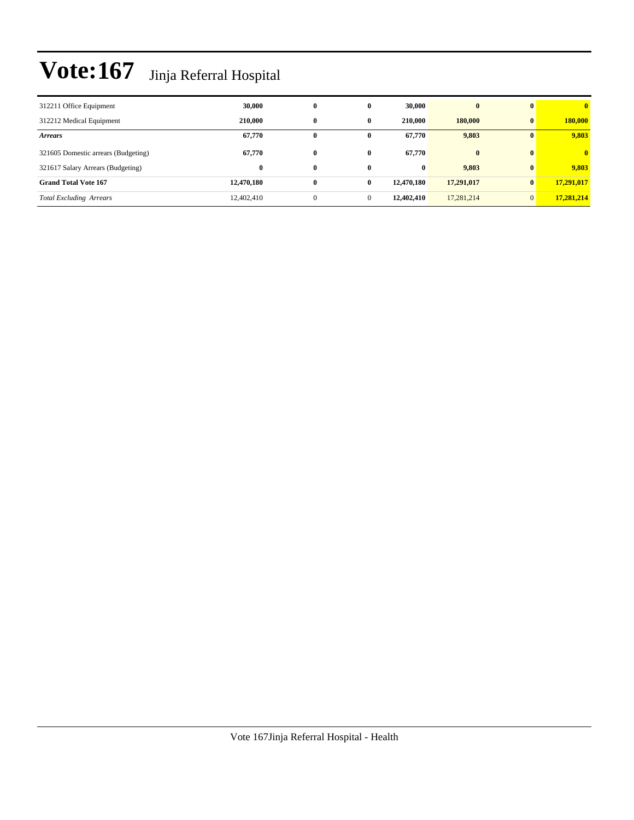| 312211 Office Equipment             | 30,000     | 0            | 0            | 30,000     | $\bf{0}$   |              | $\mathbf{0}$ |
|-------------------------------------|------------|--------------|--------------|------------|------------|--------------|--------------|
| 312212 Medical Equipment            | 210,000    | 0            | 0            | 210,000    | 180,000    | $\mathbf{0}$ | 180,000      |
| <b>Arrears</b>                      | 67,770     | $\bf{0}$     | 0            | 67,770     | 9,803      |              | 9,803        |
| 321605 Domestic arrears (Budgeting) | 67,770     | 0            | $\mathbf{0}$ | 67,770     | $\bf{0}$   | $\mathbf{0}$ | $\mathbf{0}$ |
| 321617 Salary Arrears (Budgeting)   | $\bf{0}$   | 0            | $\mathbf{0}$ | $\bf{0}$   | 9,803      | $\mathbf{0}$ | 9,803        |
| <b>Grand Total Vote 167</b>         | 12,470,180 | $\bf{0}$     | 0            | 12,470,180 | 17,291,017 | $\mathbf{0}$ | 17,291,017   |
| <b>Total Excluding Arrears</b>      | 12,402,410 | $\mathbf{0}$ | $\mathbf{0}$ | 12,402,410 | 17,281,214 | $\Omega$     | 17,281,214   |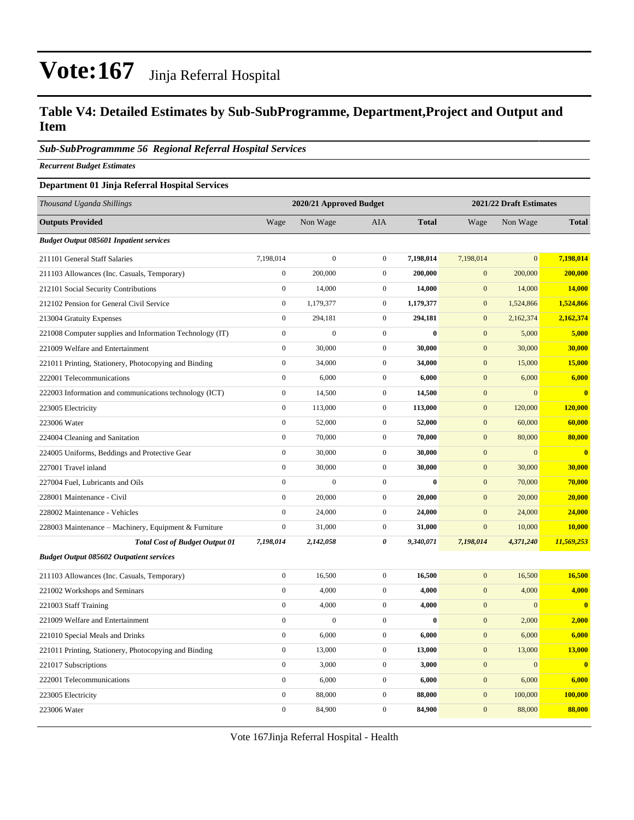### **Table V4: Detailed Estimates by Sub-SubProgramme, Department,Project and Output and Item**

### *Sub-SubProgrammme 56 Regional Referral Hospital Services*

*Recurrent Budget Estimates*

#### **Department 01 Jinja Referral Hospital Services**

| Thousand Uganda Shillings                                |                  | 2020/21 Approved Budget |                  |              | 2021/22 Draft Estimates |              |               |
|----------------------------------------------------------|------------------|-------------------------|------------------|--------------|-------------------------|--------------|---------------|
| <b>Outputs Provided</b>                                  | Wage             | Non Wage                | <b>AIA</b>       | <b>Total</b> | Wage                    | Non Wage     | <b>Total</b>  |
| <b>Budget Output 085601 Inpatient services</b>           |                  |                         |                  |              |                         |              |               |
| 211101 General Staff Salaries                            | 7,198,014        | $\mathbf{0}$            | $\boldsymbol{0}$ | 7,198,014    | 7,198,014               | $\mathbf{0}$ | 7,198,014     |
| 211103 Allowances (Inc. Casuals, Temporary)              | $\overline{0}$   | 200,000                 | $\boldsymbol{0}$ | 200,000      | $\mathbf{0}$            | 200,000      | 200,000       |
| 212101 Social Security Contributions                     | $\boldsymbol{0}$ | 14,000                  | $\boldsymbol{0}$ | 14,000       | $\mathbf{0}$            | 14,000       | <b>14,000</b> |
| 212102 Pension for General Civil Service                 | $\boldsymbol{0}$ | 1,179,377               | $\boldsymbol{0}$ | 1,179,377    | $\mathbf{0}$            | 1,524,866    | 1,524,866     |
| 213004 Gratuity Expenses                                 | $\boldsymbol{0}$ | 294,181                 | $\boldsymbol{0}$ | 294,181      | $\mathbf{0}$            | 2,162,374    | 2,162,374     |
| 221008 Computer supplies and Information Technology (IT) | $\boldsymbol{0}$ | $\mathbf{0}$            | $\boldsymbol{0}$ | $\bf{0}$     | $\mathbf{0}$            | 5,000        | 5,000         |
| 221009 Welfare and Entertainment                         | $\boldsymbol{0}$ | 30,000                  | $\boldsymbol{0}$ | 30,000       | $\boldsymbol{0}$        | 30,000       | 30,000        |
| 221011 Printing, Stationery, Photocopying and Binding    | $\boldsymbol{0}$ | 34,000                  | $\boldsymbol{0}$ | 34,000       | $\mathbf{0}$            | 15,000       | 15,000        |
| 222001 Telecommunications                                | $\boldsymbol{0}$ | 6,000                   | $\boldsymbol{0}$ | 6,000        | $\mathbf{0}$            | 6,000        | 6,000         |
| 222003 Information and communications technology (ICT)   | $\boldsymbol{0}$ | 14,500                  | $\boldsymbol{0}$ | 14,500       | $\mathbf{0}$            | $\mathbf{0}$ | $\bf{0}$      |
| 223005 Electricity                                       | $\boldsymbol{0}$ | 113,000                 | $\boldsymbol{0}$ | 113,000      | $\boldsymbol{0}$        | 120,000      | 120,000       |
| 223006 Water                                             | $\boldsymbol{0}$ | 52,000                  | $\boldsymbol{0}$ | 52,000       | $\mathbf{0}$            | 60,000       | 60,000        |
| 224004 Cleaning and Sanitation                           | $\boldsymbol{0}$ | 70,000                  | $\boldsymbol{0}$ | 70,000       | $\mathbf{0}$            | 80,000       | 80,000        |
| 224005 Uniforms, Beddings and Protective Gear            | $\boldsymbol{0}$ | 30,000                  | $\boldsymbol{0}$ | 30,000       | $\mathbf{0}$            | $\mathbf{0}$ | $\bf{0}$      |
| 227001 Travel inland                                     | $\overline{0}$   | 30,000                  | $\boldsymbol{0}$ | 30,000       | $\mathbf{0}$            | 30,000       | 30,000        |
| 227004 Fuel, Lubricants and Oils                         | $\boldsymbol{0}$ | $\boldsymbol{0}$        | $\boldsymbol{0}$ | $\bf{0}$     | $\mathbf{0}$            | 70,000       | 70,000        |
| 228001 Maintenance - Civil                               | $\mathbf{0}$     | 20,000                  | $\boldsymbol{0}$ | 20,000       | $\mathbf{0}$            | 20,000       | 20,000        |
| 228002 Maintenance - Vehicles                            | $\overline{0}$   | 24,000                  | $\boldsymbol{0}$ | 24,000       | $\mathbf{0}$            | 24,000       | 24,000        |
| 228003 Maintenance - Machinery, Equipment & Furniture    | $\boldsymbol{0}$ | 31,000                  | $\boldsymbol{0}$ | 31,000       | $\mathbf{0}$            | 10,000       | 10,000        |
| <b>Total Cost of Budget Output 01</b>                    | 7,198,014        | 2,142,058               | $\pmb{\theta}$   | 9,340,071    | 7,198,014               | 4,371,240    | 11,569,253    |
| <b>Budget Output 085602 Outpatient services</b>          |                  |                         |                  |              |                         |              |               |
| 211103 Allowances (Inc. Casuals, Temporary)              | $\boldsymbol{0}$ | 16,500                  | $\boldsymbol{0}$ | 16,500       | $\mathbf{0}$            | 16,500       | 16,500        |
| 221002 Workshops and Seminars                            | $\overline{0}$   | 4,000                   | $\overline{0}$   | 4,000        | $\mathbf{0}$            | 4,000        | 4,000         |
| 221003 Staff Training                                    | $\boldsymbol{0}$ | 4,000                   | $\boldsymbol{0}$ | 4,000        | $\mathbf{0}$            | $\mathbf{0}$ | $\bf{0}$      |
| 221009 Welfare and Entertainment                         | $\boldsymbol{0}$ | $\boldsymbol{0}$        | $\boldsymbol{0}$ | $\bf{0}$     | $\mathbf{0}$            | 2,000        | 2,000         |
| 221010 Special Meals and Drinks                          | $\mathbf{0}$     | 6,000                   | $\mathbf{0}$     | 6,000        | $\boldsymbol{0}$        | 6,000        | 6,000         |
| 221011 Printing, Stationery, Photocopying and Binding    | $\boldsymbol{0}$ | 13,000                  | $\boldsymbol{0}$ | 13,000       | $\boldsymbol{0}$        | 13,000       | 13,000        |
| 221017 Subscriptions                                     | $\overline{0}$   | 3,000                   | $\boldsymbol{0}$ | 3,000        | $\mathbf{0}$            | $\mathbf{0}$ | $\bf{0}$      |
| 222001 Telecommunications                                | $\boldsymbol{0}$ | 6,000                   | $\boldsymbol{0}$ | 6,000        | $\boldsymbol{0}$        | 6,000        | 6,000         |
| 223005 Electricity                                       | $\boldsymbol{0}$ | 88,000                  | $\boldsymbol{0}$ | 88,000       | $\mathbf{0}$            | 100,000      | 100,000       |
| 223006 Water                                             | $\mathbf{0}$     | 84,900                  | $\mathbf{0}$     | 84,900       | $\mathbf{0}$            | 88,000       | 88,000        |

Vote 167Jinja Referral Hospital - Health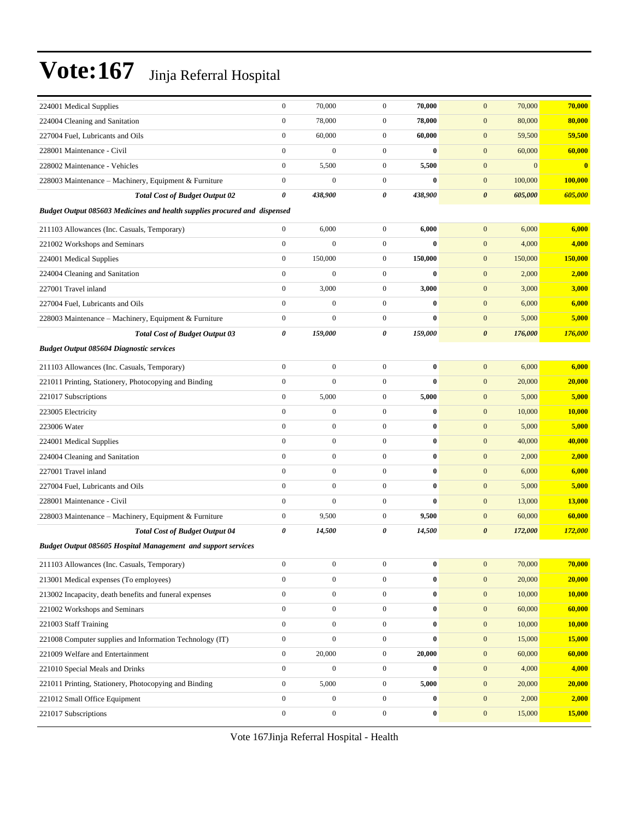| 224001 Medical Supplies                                                   | $\boldsymbol{0}$      | 70,000           | $\mathbf{0}$     | 70,000       | $\mathbf{0}$<br>70,000           | 70,000        |
|---------------------------------------------------------------------------|-----------------------|------------------|------------------|--------------|----------------------------------|---------------|
| 224004 Cleaning and Sanitation                                            | $\boldsymbol{0}$      | 78,000           | $\overline{0}$   | 78,000       | $\mathbf{0}$<br>80,000           | 80,000        |
| 227004 Fuel, Lubricants and Oils                                          | $\boldsymbol{0}$      | 60,000           | $\overline{0}$   | 60,000       | $\mathbf{0}$<br>59,500           | 59,500        |
| 228001 Maintenance - Civil                                                | $\mathbf{0}$          | $\mathbf{0}$     | $\overline{0}$   | $\bf{0}$     | 60,000<br>$\mathbf{0}$           | 60,000        |
| 228002 Maintenance - Vehicles                                             | $\mathbf{0}$          | 5,500            | $\mathbf{0}$     | 5,500        | $\mathbf{0}$<br>$\mathbf{0}$     | $\bf{0}$      |
| 228003 Maintenance – Machinery, Equipment & Furniture                     | $\boldsymbol{0}$      | $\mathbf{0}$     | $\overline{0}$   | $\bf{0}$     | $\mathbf{0}$<br>100,000          | 100,000       |
| <b>Total Cost of Budget Output 02</b>                                     | $\boldsymbol{\theta}$ | 438,900          | 0                | 438,900      | $\boldsymbol{\theta}$<br>605,000 | 605,000       |
| Budget Output 085603 Medicines and health supplies procured and dispensed |                       |                  |                  |              |                                  |               |
| 211103 Allowances (Inc. Casuals, Temporary)                               | $\boldsymbol{0}$      | 6,000            | $\mathbf{0}$     | 6,000        | $\mathbf{0}$<br>6,000            | 6,000         |
| 221002 Workshops and Seminars                                             | $\mathbf{0}$          | $\boldsymbol{0}$ | $\overline{0}$   | $\bf{0}$     | $\mathbf{0}$<br>4,000            | 4,000         |
| 224001 Medical Supplies                                                   | $\boldsymbol{0}$      | 150,000          | $\mathbf{0}$     | 150,000      | $\mathbf{0}$<br>150,000          | 150,000       |
| 224004 Cleaning and Sanitation                                            | $\mathbf{0}$          | $\mathbf{0}$     | $\overline{0}$   | $\mathbf{0}$ | $\mathbf{0}$<br>2,000            | 2,000         |
| 227001 Travel inland                                                      | $\boldsymbol{0}$      | 3,000            | $\overline{0}$   | 3,000        | $\mathbf{0}$<br>3,000            | 3,000         |
| 227004 Fuel, Lubricants and Oils                                          | $\mathbf{0}$          | $\boldsymbol{0}$ | $\overline{0}$   | $\bf{0}$     | $\mathbf{0}$<br>6,000            | 6,000         |
| 228003 Maintenance - Machinery, Equipment & Furniture                     | $\boldsymbol{0}$      | $\overline{0}$   | $\overline{0}$   | $\bf{0}$     | $\mathbf{0}$<br>5,000            | 5,000         |
| <b>Total Cost of Budget Output 03</b>                                     | $\boldsymbol{\theta}$ | 159,000          | 0                | 159,000      | $\boldsymbol{\theta}$<br>176,000 | 176,000       |
| <b>Budget Output 085604 Diagnostic services</b>                           |                       |                  |                  |              |                                  |               |
| 211103 Allowances (Inc. Casuals, Temporary)                               | $\boldsymbol{0}$      | $\boldsymbol{0}$ | $\overline{0}$   | $\bf{0}$     | $\mathbf{0}$<br>6,000            | 6,000         |
| 221011 Printing, Stationery, Photocopying and Binding                     | $\boldsymbol{0}$      | $\mathbf{0}$     | $\overline{0}$   | $\bf{0}$     | $\boldsymbol{0}$<br>20,000       | 20,000        |
| 221017 Subscriptions                                                      | $\boldsymbol{0}$      | 5,000            | $\overline{0}$   | 5,000        | $\mathbf{0}$<br>5,000            | 5,000         |
| 223005 Electricity                                                        | $\mathbf{0}$          | $\overline{0}$   | $\overline{0}$   | $\bf{0}$     | $\mathbf{0}$<br>10,000           | 10,000        |
| 223006 Water                                                              | $\mathbf{0}$          | $\mathbf{0}$     | $\overline{0}$   | $\bf{0}$     | $\mathbf{0}$<br>5,000            | 5,000         |
| 224001 Medical Supplies                                                   | $\mathbf{0}$          | $\overline{0}$   | $\overline{0}$   | $\bf{0}$     | $\mathbf{0}$<br>40,000           | 40,000        |
| 224004 Cleaning and Sanitation                                            | $\mathbf{0}$          | $\overline{0}$   | $\overline{0}$   | $\bf{0}$     | $\boldsymbol{0}$<br>2,000        | 2,000         |
| 227001 Travel inland                                                      | $\mathbf{0}$          | $\boldsymbol{0}$ | $\boldsymbol{0}$ | $\bf{0}$     | $\mathbf{0}$<br>6,000            | 6,000         |
| 227004 Fuel, Lubricants and Oils                                          | $\mathbf{0}$          | $\overline{0}$   | $\overline{0}$   | $\bf{0}$     | $\mathbf{0}$<br>5,000            | 5,000         |
| 228001 Maintenance - Civil                                                | $\mathbf{0}$          | $\boldsymbol{0}$ | $\mathbf{0}$     | $\bf{0}$     | $\mathbf{0}$<br>13,000           | 13,000        |
| 228003 Maintenance – Machinery, Equipment & Furniture                     | $\boldsymbol{0}$      | 9,500            | $\mathbf{0}$     | 9,500        | $\mathbf{0}$<br>60,000           | 60,000        |
| <b>Total Cost of Budget Output 04</b>                                     | $\boldsymbol{\theta}$ | 14,500           | 0                | 14,500       | $\boldsymbol{\theta}$<br>172,000 | 172,000       |
| <b>Budget Output 085605 Hospital Management and support services</b>      |                       |                  |                  |              |                                  |               |
| 211103 Allowances (Inc. Casuals, Temporary)                               | $\boldsymbol{0}$      | $\boldsymbol{0}$ | $\boldsymbol{0}$ | $\bf{0}$     | $\mathbf{0}$<br>70,000           | 70,000        |
| 213001 Medical expenses (To employees)                                    | $\boldsymbol{0}$      | $\boldsymbol{0}$ | $\overline{0}$   | $\bf{0}$     | $\mathbf{0}$<br>20,000           | 20,000        |
| 213002 Incapacity, death benefits and funeral expenses                    | $\boldsymbol{0}$      | $\boldsymbol{0}$ | $\overline{0}$   | $\bf{0}$     | $\mathbf{0}$<br>10,000           | 10,000        |
| 221002 Workshops and Seminars                                             | $\boldsymbol{0}$      | $\boldsymbol{0}$ | $\overline{0}$   | $\bf{0}$     | $\mathbf{0}$<br>60,000           | 60,000        |
| 221003 Staff Training                                                     | $\boldsymbol{0}$      | $\boldsymbol{0}$ | $\boldsymbol{0}$ | $\bf{0}$     | $\mathbf{0}$<br>10,000           | 10,000        |
| 221008 Computer supplies and Information Technology (IT)                  | $\boldsymbol{0}$      | $\boldsymbol{0}$ | $\boldsymbol{0}$ | $\bf{0}$     | $\mathbf{0}$<br>15,000           | <b>15,000</b> |
| 221009 Welfare and Entertainment                                          | $\boldsymbol{0}$      | 20,000           | $\boldsymbol{0}$ | 20,000       | $\mathbf{0}$<br>60,000           | 60,000        |
| 221010 Special Meals and Drinks                                           | $\boldsymbol{0}$      | $\boldsymbol{0}$ | $\boldsymbol{0}$ | $\bf{0}$     | $\mathbf{0}$<br>4,000            | 4,000         |
| 221011 Printing, Stationery, Photocopying and Binding                     | $\boldsymbol{0}$      | 5,000            | $\boldsymbol{0}$ | 5,000        | $\mathbf{0}$<br>20,000           | 20,000        |
| 221012 Small Office Equipment                                             | $\boldsymbol{0}$      | $\boldsymbol{0}$ | $\boldsymbol{0}$ | $\bf{0}$     | $\mathbf{0}$<br>2,000            | 2,000         |
| 221017 Subscriptions                                                      | $\boldsymbol{0}$      | $\boldsymbol{0}$ | $\boldsymbol{0}$ | $\bf{0}$     | $\mathbf{0}$<br>15,000           | 15,000        |

Vote 167Jinja Referral Hospital - Health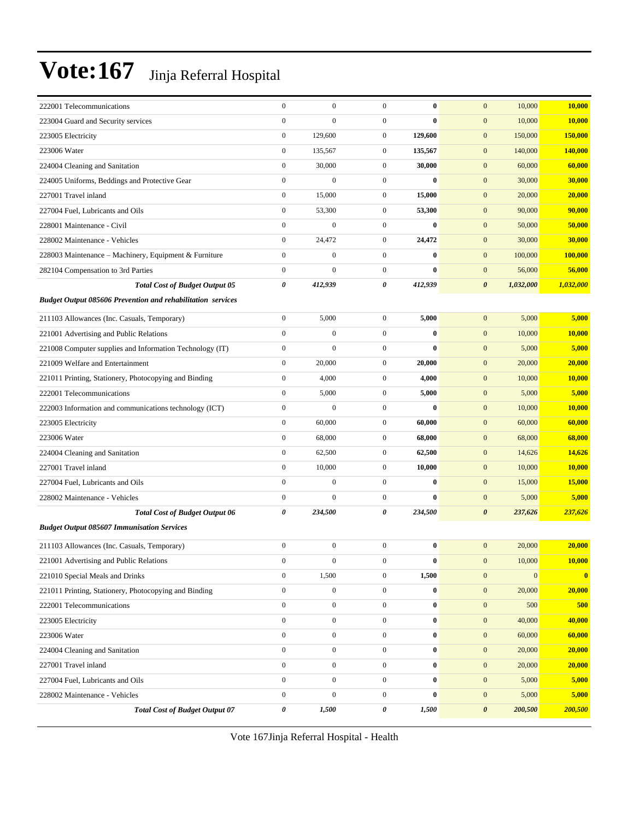| 222001 Telecommunications                                          | $\boldsymbol{0}$ | $\overline{0}$   | $\mathbf{0}$     | $\bf{0}$ | $\mathbf{0}$<br>10,000               | 10,000        |
|--------------------------------------------------------------------|------------------|------------------|------------------|----------|--------------------------------------|---------------|
| 223004 Guard and Security services                                 | $\boldsymbol{0}$ | $\overline{0}$   | $\boldsymbol{0}$ | $\bf{0}$ | $\mathbf{0}$<br>10,000               | 10,000        |
| 223005 Electricity                                                 | $\boldsymbol{0}$ | 129,600          | $\boldsymbol{0}$ | 129,600  | $\mathbf{0}$<br>150,000              | 150,000       |
| 223006 Water                                                       | $\boldsymbol{0}$ | 135,567          | $\mathbf{0}$     | 135,567  | $\mathbf{0}$<br>140,000              | 140,000       |
| 224004 Cleaning and Sanitation                                     | $\boldsymbol{0}$ | 30,000           | $\mathbf{0}$     | 30,000   | $\mathbf{0}$<br>60,000               | 60,000        |
| 224005 Uniforms, Beddings and Protective Gear                      | $\boldsymbol{0}$ | $\overline{0}$   | $\mathbf{0}$     | $\bf{0}$ | $\mathbf{0}$<br>30,000               | 30,000        |
| 227001 Travel inland                                               | $\boldsymbol{0}$ | 15,000           | $\mathbf{0}$     | 15,000   | $\boldsymbol{0}$<br>20,000           | 20,000        |
| 227004 Fuel, Lubricants and Oils                                   | $\boldsymbol{0}$ | 53,300           | $\boldsymbol{0}$ | 53,300   | $\mathbf{0}$<br>90,000               | 90,000        |
| 228001 Maintenance - Civil                                         | $\boldsymbol{0}$ | $\boldsymbol{0}$ | $\boldsymbol{0}$ | $\bf{0}$ | $\mathbf{0}$<br>50,000               | 50,000        |
| 228002 Maintenance - Vehicles                                      | $\boldsymbol{0}$ | 24,472           | $\mathbf{0}$     | 24,472   | $\mathbf{0}$<br>30,000               | 30,000        |
| 228003 Maintenance - Machinery, Equipment & Furniture              | $\boldsymbol{0}$ | $\overline{0}$   | $\mathbf{0}$     | $\bf{0}$ | $\mathbf{0}$<br>100,000              | 100,000       |
| 282104 Compensation to 3rd Parties                                 | $\boldsymbol{0}$ | $\mathbf{0}$     | $\mathbf{0}$     | $\bf{0}$ | $\boldsymbol{0}$<br>56,000           | 56,000        |
| <b>Total Cost of Budget Output 05</b>                              | 0                | 412,939          | 0                | 412,939  | $\boldsymbol{\theta}$<br>1,032,000   | 1,032,000     |
| <b>Budget Output 085606 Prevention and rehabilitation services</b> |                  |                  |                  |          |                                      |               |
| 211103 Allowances (Inc. Casuals, Temporary)                        | $\boldsymbol{0}$ | 5,000            | $\mathbf{0}$     | 5,000    | $\boldsymbol{0}$<br>5,000            | 5,000         |
| 221001 Advertising and Public Relations                            | $\boldsymbol{0}$ | $\mathbf{0}$     | $\mathbf{0}$     | $\bf{0}$ | $\mathbf{0}$<br>10,000               | 10,000        |
| 221008 Computer supplies and Information Technology (IT)           | $\boldsymbol{0}$ | $\overline{0}$   | $\mathbf{0}$     | $\bf{0}$ | $\boldsymbol{0}$<br>5,000            | 5,000         |
| 221009 Welfare and Entertainment                                   | $\boldsymbol{0}$ | 20,000           | $\mathbf{0}$     | 20.000   | $\boldsymbol{0}$<br>20,000           | 20,000        |
| 221011 Printing, Stationery, Photocopying and Binding              | $\boldsymbol{0}$ | 4,000            | $\boldsymbol{0}$ | 4,000    | $\boldsymbol{0}$<br>10,000           | 10,000        |
| 222001 Telecommunications                                          | $\boldsymbol{0}$ | 5,000            | $\mathbf{0}$     | 5,000    | $\mathbf{0}$<br>5,000                | 5,000         |
| 222003 Information and communications technology (ICT)             | $\boldsymbol{0}$ | $\boldsymbol{0}$ | $\mathbf{0}$     | $\bf{0}$ | $\mathbf{0}$<br>10,000               | 10,000        |
| 223005 Electricity                                                 | $\boldsymbol{0}$ | 60,000           | $\mathbf{0}$     | 60,000   | 60,000<br>$\boldsymbol{0}$           | 60,000        |
| 223006 Water                                                       | $\boldsymbol{0}$ | 68,000           | $\mathbf{0}$     | 68,000   | $\boldsymbol{0}$<br>68,000           | 68,000        |
| 224004 Cleaning and Sanitation                                     | $\boldsymbol{0}$ | 62,500           | $\boldsymbol{0}$ | 62,500   | $\boldsymbol{0}$<br>14,626           | 14,626        |
| 227001 Travel inland                                               | $\boldsymbol{0}$ | 10,000           | $\mathbf{0}$     | 10,000   | $\mathbf{0}$<br>10,000               | <b>10,000</b> |
| 227004 Fuel, Lubricants and Oils                                   | $\boldsymbol{0}$ | $\mathbf{0}$     | $\mathbf{0}$     | $\bf{0}$ | $\mathbf{0}$<br>15,000               | 15,000        |
| 228002 Maintenance - Vehicles                                      | $\boldsymbol{0}$ | $\overline{0}$   | $\mathbf{0}$     | $\bf{0}$ | 5,000<br>$\boldsymbol{0}$            | 5,000         |
| <b>Total Cost of Budget Output 06</b>                              | 0                | 234,500          | 0                | 234,500  | $\boldsymbol{\theta}$<br>237,626     | 237,626       |
| <b>Budget Output 085607 Immunisation Services</b>                  |                  |                  |                  |          |                                      |               |
| 211103 Allowances (Inc. Casuals, Temporary)                        | $\boldsymbol{0}$ | $\overline{0}$   | $\boldsymbol{0}$ | $\bf{0}$ | 20,000<br>$\mathbf{0}$               | 20,000        |
| 221001 Advertising and Public Relations                            | $\boldsymbol{0}$ | $\mathbf{0}$     | $\boldsymbol{0}$ | 0        | 10,000<br>$\mathbf{0}$               | 10,000        |
| 221010 Special Meals and Drinks                                    | $\boldsymbol{0}$ | 1,500            | $\boldsymbol{0}$ | 1,500    | $\boldsymbol{0}$<br>$\boldsymbol{0}$ | $\mathbf{0}$  |
| 221011 Printing, Stationery, Photocopying and Binding              | $\boldsymbol{0}$ | $\boldsymbol{0}$ | $\boldsymbol{0}$ | $\bf{0}$ | $\boldsymbol{0}$<br>20,000           | 20,000        |
| 222001 Telecommunications                                          | $\boldsymbol{0}$ | $\boldsymbol{0}$ | $\mathbf{0}$     | $\bf{0}$ | $\mathbf{0}$<br>500                  | 500           |
| 223005 Electricity                                                 | $\boldsymbol{0}$ | $\boldsymbol{0}$ | $\boldsymbol{0}$ | $\bf{0}$ | $\boldsymbol{0}$<br>40,000           | 40,000        |
| 223006 Water                                                       | $\boldsymbol{0}$ | $\boldsymbol{0}$ | $\boldsymbol{0}$ | $\bf{0}$ | $\boldsymbol{0}$<br>60,000           | 60,000        |
| 224004 Cleaning and Sanitation                                     | $\boldsymbol{0}$ | $\boldsymbol{0}$ | $\boldsymbol{0}$ | $\bf{0}$ | $\boldsymbol{0}$<br>20,000           | 20,000        |
| 227001 Travel inland                                               | $\boldsymbol{0}$ | $\boldsymbol{0}$ | $\boldsymbol{0}$ | $\bf{0}$ | 20,000<br>$\boldsymbol{0}$           | 20,000        |
| 227004 Fuel, Lubricants and Oils                                   | $\boldsymbol{0}$ | $\boldsymbol{0}$ | $\boldsymbol{0}$ | $\bf{0}$ | $\mathbf{0}$<br>5,000                | 5,000         |
| 228002 Maintenance - Vehicles                                      | $\boldsymbol{0}$ | $\mathbf{0}$     | $\boldsymbol{0}$ | $\bf{0}$ | $\boldsymbol{0}$<br>5,000            | 5,000         |
| <b>Total Cost of Budget Output 07</b>                              | 0                | 1,500            | 0                | 1,500    | $\pmb{\theta}$<br>200,500            | 200,500       |

Vote 167Jinja Referral Hospital - Health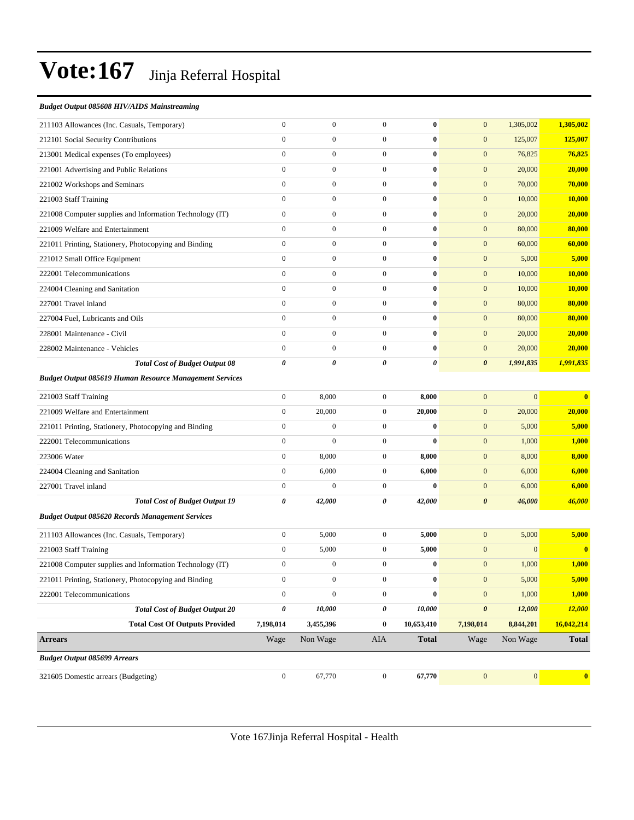#### *Budget Output 085608 HIV/AIDS Mainstreaming*

| 211103 Allowances (Inc. Casuals, Temporary)                    | $\boldsymbol{0}$      | $\boldsymbol{0}$ | $\mathbf{0}$     | $\bf{0}$     | $\mathbf{0}$          | 1,305,002       | 1,305,002     |
|----------------------------------------------------------------|-----------------------|------------------|------------------|--------------|-----------------------|-----------------|---------------|
| 212101 Social Security Contributions                           | $\mathbf{0}$          | $\boldsymbol{0}$ | $\overline{0}$   | $\bf{0}$     | $\boldsymbol{0}$      | 125,007         | 125,007       |
| 213001 Medical expenses (To employees)                         | $\mathbf{0}$          | $\boldsymbol{0}$ | $\boldsymbol{0}$ | $\bf{0}$     | $\boldsymbol{0}$      | 76,825          | 76,825        |
| 221001 Advertising and Public Relations                        | $\boldsymbol{0}$      | $\boldsymbol{0}$ | $\boldsymbol{0}$ | $\bf{0}$     | $\boldsymbol{0}$      | 20,000          | 20,000        |
| 221002 Workshops and Seminars                                  | $\mathbf{0}$          | $\boldsymbol{0}$ | $\overline{0}$   | $\bf{0}$     | $\boldsymbol{0}$      | 70,000          | 70,000        |
| 221003 Staff Training                                          | $\mathbf{0}$          | $\boldsymbol{0}$ | $\mathbf{0}$     | $\bf{0}$     | $\mathbf{0}$          | 10,000          | 10,000        |
| 221008 Computer supplies and Information Technology (IT)       | $\boldsymbol{0}$      | $\boldsymbol{0}$ | $\overline{0}$   | $\bf{0}$     | $\boldsymbol{0}$      | 20,000          | 20,000        |
| 221009 Welfare and Entertainment                               | $\mathbf{0}$          | $\boldsymbol{0}$ | $\boldsymbol{0}$ | $\bf{0}$     | $\boldsymbol{0}$      | 80,000          | 80,000        |
| 221011 Printing, Stationery, Photocopying and Binding          | $\boldsymbol{0}$      | $\boldsymbol{0}$ | $\boldsymbol{0}$ | $\bf{0}$     | $\boldsymbol{0}$      | 60,000          | 60,000        |
| 221012 Small Office Equipment                                  | $\mathbf{0}$          | $\boldsymbol{0}$ | $\overline{0}$   | $\bf{0}$     | $\mathbf{0}$          | 5,000           | 5,000         |
| 222001 Telecommunications                                      | $\boldsymbol{0}$      | $\boldsymbol{0}$ | $\mathbf{0}$     | $\bf{0}$     | $\mathbf{0}$          | 10,000          | 10,000        |
| 224004 Cleaning and Sanitation                                 | $\mathbf{0}$          | $\boldsymbol{0}$ | $\overline{0}$   | $\bf{0}$     | $\mathbf{0}$          | 10,000          | <b>10,000</b> |
| 227001 Travel inland                                           | $\mathbf{0}$          | $\boldsymbol{0}$ | $\boldsymbol{0}$ | $\bf{0}$     | $\mathbf{0}$          | 80,000          | 80,000        |
| 227004 Fuel, Lubricants and Oils                               | $\mathbf{0}$          | $\boldsymbol{0}$ | $\boldsymbol{0}$ | $\bf{0}$     | $\boldsymbol{0}$      | 80,000          | 80,000        |
| 228001 Maintenance - Civil                                     | $\mathbf{0}$          | $\mathbf{0}$     | $\overline{0}$   | $\bf{0}$     | $\boldsymbol{0}$      | 20,000          | 20,000        |
| 228002 Maintenance - Vehicles                                  | $\mathbf{0}$          | $\mathbf{0}$     | $\mathbf{0}$     | $\bf{0}$     | $\mathbf{0}$          | 20,000          | 20,000        |
| <b>Total Cost of Budget Output 08</b>                          | $\boldsymbol{\theta}$ | 0                | 0                | 0            | $\boldsymbol{\theta}$ | 1,991,835       | 1,991,835     |
| <b>Budget Output 085619 Human Resource Management Services</b> |                       |                  |                  |              |                       |                 |               |
| 221003 Staff Training                                          | $\boldsymbol{0}$      | 8,000            | $\boldsymbol{0}$ | 8,000        | $\mathbf{0}$          | $\mathbf{0}$    | $\bf{0}$      |
| 221009 Welfare and Entertainment                               | $\mathbf{0}$          | 20,000           | $\overline{0}$   | 20,000       | $\mathbf{0}$          | 20,000          | 20,000        |
| 221011 Printing, Stationery, Photocopying and Binding          | $\boldsymbol{0}$      | $\boldsymbol{0}$ | $\overline{0}$   | $\bf{0}$     | $\mathbf{0}$          | 5,000           | 5,000         |
| 222001 Telecommunications                                      | $\boldsymbol{0}$      | $\overline{0}$   | $\mathbf{0}$     | $\bf{0}$     | $\mathbf{0}$          | 1,000           | 1,000         |
| 223006 Water                                                   | $\mathbf{0}$          | 8,000            | $\overline{0}$   | 8,000        | $\mathbf{0}$          | 8,000           | 8,000         |
| 224004 Cleaning and Sanitation                                 | $\mathbf{0}$          | 6,000            | $\mathbf{0}$     | 6,000        | $\mathbf{0}$          | 6,000           | 6,000         |
| 227001 Travel inland                                           | $\mathbf{0}$          | $\overline{0}$   | $\overline{0}$   | $\bf{0}$     | $\mathbf{0}$          | 6,000           | 6,000         |
| <b>Total Cost of Budget Output 19</b>                          | 0                     | 42,000           | 0                | 42,000       | $\boldsymbol{\theta}$ | 46,000          | 46,000        |
| <b>Budget Output 085620 Records Management Services</b>        |                       |                  |                  |              |                       |                 |               |
| 211103 Allowances (Inc. Casuals, Temporary)                    | $\boldsymbol{0}$      | 5,000            | $\boldsymbol{0}$ | 5,000        | $\mathbf{0}$          | 5,000           | 5,000         |
| 221003 Staff Training                                          | $\mathbf{0}$          | 5,000            | $\mathbf{0}$     | 5,000        | $\boldsymbol{0}$      | $\overline{0}$  | $\bf{0}$      |
| 221008 Computer supplies and Information Technology (IT)       | $\boldsymbol{0}$      | $\boldsymbol{0}$ | $\boldsymbol{0}$ | $\bf{0}$     | $\mathbf{0}$          | 1,000           | 1,000         |
| 221011 Printing, Stationery, Photocopying and Binding          | $\boldsymbol{0}$      | $\boldsymbol{0}$ | $\boldsymbol{0}$ | $\bf{0}$     | $\mathbf{0}$          | 5,000           | 5,000         |
| 222001 Telecommunications                                      | $\boldsymbol{0}$      | $\boldsymbol{0}$ | $\boldsymbol{0}$ | $\pmb{0}$    | $\mathbf{0}$          | 1,000           | 1,000         |
| <b>Total Cost of Budget Output 20</b>                          | 0                     | 10,000           | 0                | 10,000       | $\boldsymbol{\theta}$ | 12,000          | 12,000        |
| <b>Total Cost Of Outputs Provided</b>                          | 7,198,014             | 3,455,396        | $\bf{0}$         | 10,653,410   | 7,198,014             | 8,844,201       | 16,042,214    |
| <b>Arrears</b>                                                 | Wage                  | Non Wage         | <b>AIA</b>       | <b>Total</b> | Wage                  | Non Wage        | <b>Total</b>  |
| <b>Budget Output 085699 Arrears</b>                            |                       |                  |                  |              |                       |                 |               |
| 321605 Domestic arrears (Budgeting)                            | $\boldsymbol{0}$      | 67,770           | $\boldsymbol{0}$ | 67,770       | $\boldsymbol{0}$      | $\vert 0 \vert$ | $\mathbf{0}$  |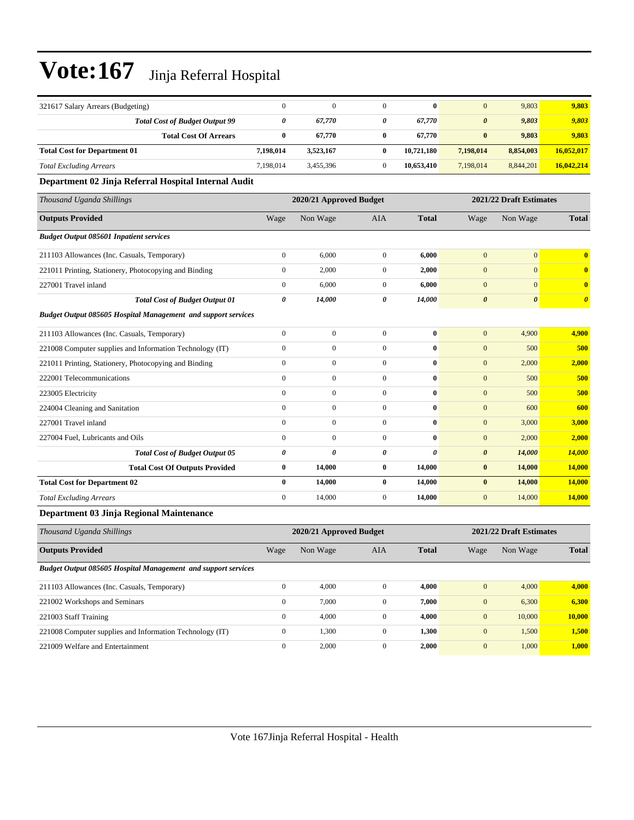| 321617 Salary Arrears (Budgeting)                                    | $\mathbf{0}$          | $\mathbf{0}$            | $\overline{0}$   | $\bf{0}$     | $\mathbf{0}$          | 9,803                   | 9,803                 |  |  |
|----------------------------------------------------------------------|-----------------------|-------------------------|------------------|--------------|-----------------------|-------------------------|-----------------------|--|--|
| <b>Total Cost of Budget Output 99</b>                                | $\boldsymbol{\theta}$ | 67,770                  | 0                | 67,770       | $\boldsymbol{\theta}$ | 9,803                   | 9,803                 |  |  |
| <b>Total Cost Of Arrears</b>                                         | $\bf{0}$              | 67,770                  | 0                | 67,770       | $\bf{0}$              | 9,803                   | 9,803                 |  |  |
| <b>Total Cost for Department 01</b>                                  | 7,198,014             | 3,523,167               | 0                | 10,721,180   | 7,198,014             | 8,854,003               | 16,052,017            |  |  |
| <b>Total Excluding Arrears</b>                                       | 7,198,014             | 3,455,396               | $\mathbf{0}$     | 10,653,410   | 7,198,014             | 8,844,201               | 16,042,214            |  |  |
| Department 02 Jinja Referral Hospital Internal Audit                 |                       |                         |                  |              |                       |                         |                       |  |  |
| Thousand Uganda Shillings                                            |                       | 2020/21 Approved Budget |                  |              |                       | 2021/22 Draft Estimates |                       |  |  |
| <b>Outputs Provided</b>                                              | Wage                  | Non Wage                | AIA              | <b>Total</b> | Wage                  | Non Wage                | <b>Total</b>          |  |  |
| <b>Budget Output 085601 Inpatient services</b>                       |                       |                         |                  |              |                       |                         |                       |  |  |
| 211103 Allowances (Inc. Casuals, Temporary)                          | $\boldsymbol{0}$      | 6,000                   | $\boldsymbol{0}$ | 6,000        | $\mathbf{0}$          | $\mathbf{0}$            | $\bf{0}$              |  |  |
| 221011 Printing, Stationery, Photocopying and Binding                | $\boldsymbol{0}$      | 2,000                   | $\boldsymbol{0}$ | 2,000        | $\mathbf{0}$          | $\mathbf{0}$            | $\bf{0}$              |  |  |
| 227001 Travel inland                                                 | $\boldsymbol{0}$      | 6,000                   | $\boldsymbol{0}$ | 6,000        | $\mathbf{0}$          | $\mathbf{0}$            | $\bf{0}$              |  |  |
| <b>Total Cost of Budget Output 01</b>                                | 0                     | 14,000                  | 0                | 14,000       | $\boldsymbol{\theta}$ | $\boldsymbol{\theta}$   | $\boldsymbol{\theta}$ |  |  |
| <b>Budget Output 085605 Hospital Management and support services</b> |                       |                         |                  |              |                       |                         |                       |  |  |
| 211103 Allowances (Inc. Casuals, Temporary)                          | $\boldsymbol{0}$      | $\boldsymbol{0}$        | $\boldsymbol{0}$ | $\bf{0}$     | $\mathbf{0}$          | 4,900                   | 4,900                 |  |  |
| 221008 Computer supplies and Information Technology (IT)             | $\boldsymbol{0}$      | $\boldsymbol{0}$        | $\boldsymbol{0}$ | $\bf{0}$     | $\boldsymbol{0}$      | 500                     | 500                   |  |  |
| 221011 Printing, Stationery, Photocopying and Binding                | $\mathbf{0}$          | $\boldsymbol{0}$        | $\overline{0}$   | $\bf{0}$     | $\mathbf{0}$          | 2,000                   | 2,000                 |  |  |
| 222001 Telecommunications                                            | $\mathbf{0}$          | $\overline{0}$          | $\overline{0}$   | $\bf{0}$     | $\mathbf{0}$          | 500                     | 500                   |  |  |
| 223005 Electricity                                                   | $\mathbf{0}$          | $\mathbf{0}$            | $\boldsymbol{0}$ | $\bf{0}$     | $\mathbf{0}$          | 500                     | 500                   |  |  |
| 224004 Cleaning and Sanitation                                       | $\mathbf{0}$          | $\mathbf{0}$            | $\boldsymbol{0}$ | $\bf{0}$     | $\mathbf{0}$          | 600                     | 600                   |  |  |
| 227001 Travel inland                                                 | $\mathbf{0}$          | $\boldsymbol{0}$        | $\boldsymbol{0}$ | $\bf{0}$     | $\boldsymbol{0}$      | 3,000                   | 3,000                 |  |  |
| 227004 Fuel, Lubricants and Oils                                     | $\mathbf{0}$          | $\boldsymbol{0}$        | $\overline{0}$   | $\bf{0}$     | $\mathbf{0}$          | 2,000                   | 2,000                 |  |  |
| <b>Total Cost of Budget Output 05</b>                                | $\boldsymbol{\theta}$ | 0                       | 0                | $\theta$     | $\boldsymbol{\theta}$ | 14,000                  | <b>14,000</b>         |  |  |
| <b>Total Cost Of Outputs Provided</b>                                | $\bf{0}$              | 14,000                  | 0                | 14,000       | $\bf{0}$              | 14,000                  | 14,000                |  |  |
| <b>Total Cost for Department 02</b>                                  | $\bf{0}$              | 14,000                  | 0                | 14,000       | $\bf{0}$              | 14,000                  | 14,000                |  |  |
| <b>Total Excluding Arrears</b>                                       | $\boldsymbol{0}$      | 14,000                  | $\boldsymbol{0}$ | 14,000       | $\mathbf{0}$          | 14,000                  | 14,000                |  |  |
| Department 03 Jinja Regional Maintenance                             |                       |                         |                  |              |                       |                         |                       |  |  |
| Thousand Uganda Shillings                                            |                       | 2020/21 Approved Budget |                  |              |                       | 2021/22 Draft Estimates |                       |  |  |
| <b>Outputs Provided</b>                                              | Wage                  | Non Wage                | AIA              | <b>Total</b> | Wage                  | Non Wage                | <b>Total</b>          |  |  |
| <b>Budget Output 085605 Hospital Management and support services</b> |                       |                         |                  |              |                       |                         |                       |  |  |
| 211103 Allowances (Inc. Casuals, Temporary)                          | $\boldsymbol{0}$      | 4,000                   | $\boldsymbol{0}$ | 4,000        | $\boldsymbol{0}$      | 4,000                   | 4,000                 |  |  |
| 221002 Workshops and Seminars                                        | $\boldsymbol{0}$      | 7,000                   | $\boldsymbol{0}$ | 7,000        | $\boldsymbol{0}$      | 6,300                   | 6,300                 |  |  |
| 221003 Staff Training                                                | $\boldsymbol{0}$      | 4,000                   | $\boldsymbol{0}$ | 4,000        | $\boldsymbol{0}$      | 10,000                  | 10,000                |  |  |
| 221008 Computer supplies and Information Technology (IT)             | $\boldsymbol{0}$      | 1,300                   | $\boldsymbol{0}$ | 1,300        | $\boldsymbol{0}$      | 1,500                   | 1,500                 |  |  |
| 221009 Welfare and Entertainment                                     | $\boldsymbol{0}$      | 2,000                   | $\mathbf{0}$     | 2,000        | $\boldsymbol{0}$      | 1,000                   | 1,000                 |  |  |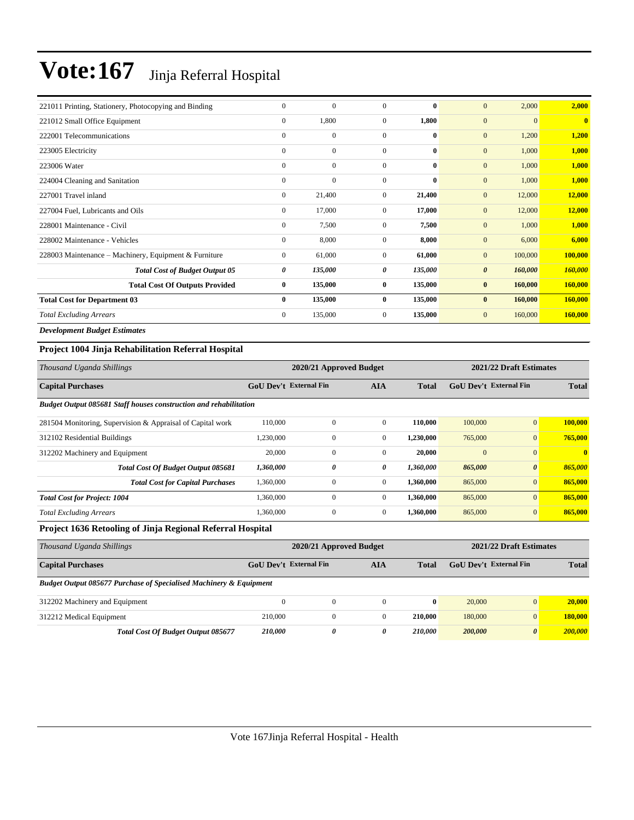| 221011 Printing, Stationery, Photocopying and Binding | $\mathbf{0}$   | $\mathbf{0}$ | $\Omega$     | $\mathbf{0}$ | $\overline{0}$        | 2,000    | 2,000          |
|-------------------------------------------------------|----------------|--------------|--------------|--------------|-----------------------|----------|----------------|
| 221012 Small Office Equipment                         | $\overline{0}$ | 1,800        | $\mathbf{0}$ | 1,800        | $\overline{0}$        | $\Omega$ | $\overline{0}$ |
| 222001 Telecommunications                             | $\mathbf{0}$   | $\mathbf{0}$ | $\Omega$     | $\mathbf{0}$ | $\overline{0}$        | 1,200    | 1,200          |
| 223005 Electricity                                    | $\overline{0}$ | $\mathbf{0}$ | $\mathbf{0}$ | $\mathbf{0}$ | $\mathbf{0}$          | 1,000    | 1,000          |
| 223006 Water                                          | $\mathbf{0}$   | $\mathbf{0}$ | $\mathbf{0}$ | $\bf{0}$     | $\mathbf{0}$          | 1,000    | 1,000          |
| 224004 Cleaning and Sanitation                        | $\overline{0}$ | $\mathbf{0}$ | $\mathbf{0}$ | $\bf{0}$     | $\mathbf{0}$          | 1,000    | 1,000          |
| 227001 Travel inland                                  | $\overline{0}$ | 21,400       | $\mathbf{0}$ | 21,400       | $\mathbf{0}$          | 12,000   | 12,000         |
| 227004 Fuel, Lubricants and Oils                      | $\overline{0}$ | 17,000       | $\Omega$     | 17,000       | $\overline{0}$        | 12,000   | 12,000         |
| 228001 Maintenance - Civil                            | $\overline{0}$ | 7,500        | $\mathbf{0}$ | 7,500        | $\mathbf{0}$          | 1,000    | 1,000          |
| 228002 Maintenance - Vehicles                         | $\mathbf{0}$   | 8,000        | $\Omega$     | 8,000        | $\overline{0}$        | 6,000    | 6,000          |
| 228003 Maintenance – Machinery, Equipment & Furniture | $\overline{0}$ | 61,000       | $\mathbf{0}$ | 61,000       | $\mathbf{0}$          | 100,000  | 100,000        |
| <b>Total Cost of Budget Output 05</b>                 | 0              | 135,000      | 0            | 135,000      | $\boldsymbol{\theta}$ | 160,000  | 160,000        |
| <b>Total Cost Of Outputs Provided</b>                 | $\bf{0}$       | 135,000      | $\bf{0}$     | 135,000      | $\bf{0}$              | 160,000  | 160,000        |
| <b>Total Cost for Department 03</b>                   | $\mathbf{0}$   | 135,000      | $\bf{0}$     | 135,000      | $\bf{0}$              | 160,000  | 160,000        |
| <b>Total Excluding Arrears</b>                        | $\mathbf{0}$   | 135,000      | $\mathbf{0}$ | 135,000      | $\mathbf{0}$          | 160,000  | 160,000        |

*Development Budget Estimates*

### **Project 1004 Jinja Rehabilitation Referral Hospital**

| Thousand Uganda Shillings                                         | 2020/21 Approved Budget       |              |                |              |                               | 2021/22 Draft Estimates |              |  |  |
|-------------------------------------------------------------------|-------------------------------|--------------|----------------|--------------|-------------------------------|-------------------------|--------------|--|--|
| <b>Capital Purchases</b>                                          | <b>GoU Dev't External Fin</b> |              | <b>AIA</b>     | <b>Total</b> | <b>GoU Dev't External Fin</b> | <b>Total</b>            |              |  |  |
| Budget Output 085681 Staff houses construction and rehabilitation |                               |              |                |              |                               |                         |              |  |  |
| 281504 Monitoring, Supervision & Appraisal of Capital work        | 110,000                       | $\mathbf{0}$ | $\overline{0}$ | 110,000      | 100,000                       | $\overline{0}$          | 100,000      |  |  |
| 312102 Residential Buildings                                      | 1,230,000                     | $\mathbf{0}$ | $\mathbf{0}$   | 1,230,000    | 765,000                       | $\overline{0}$          | 765,000      |  |  |
| 312202 Machinery and Equipment                                    | 20,000                        | $\mathbf{0}$ | $\mathbf{0}$   | 20,000       | $\mathbf{0}$                  | $\overline{0}$          | $\mathbf{0}$ |  |  |
| Total Cost Of Budget Output 085681                                | 1,360,000                     | 0            | 0              | 1,360,000    | 865,000                       | $\boldsymbol{\theta}$   | 865,000      |  |  |
| <b>Total Cost for Capital Purchases</b>                           | 1,360,000                     | $\mathbf{0}$ | $\overline{0}$ | 1,360,000    | 865,000                       | $\overline{0}$          | 865,000      |  |  |
| <b>Total Cost for Project: 1004</b>                               | 1,360,000                     | $\Omega$     | $\Omega$       | 1,360,000    | 865,000                       | $\overline{0}$          | 865,000      |  |  |
| <b>Total Excluding Arrears</b>                                    | 1,360,000                     | $\mathbf{0}$ | $\overline{0}$ | 1,360,000    | 865,000                       | $\overline{0}$          | 865,000      |  |  |

#### **Project 1636 Retooling of Jinja Regional Referral Hospital**

| Thousand Uganda Shillings                                                     | 2020/21 Approved Budget | 2021/22 Draft Estimates |          |              |                        |                       |              |
|-------------------------------------------------------------------------------|-------------------------|-------------------------|----------|--------------|------------------------|-----------------------|--------------|
| <b>Capital Purchases</b>                                                      | GoU Dev't External Fin  |                         | AIA      | Total        | GoU Dev't External Fin |                       | <b>Total</b> |
| <b>Budget Output 085677 Purchase of Specialised Machinery &amp; Equipment</b> |                         |                         |          |              |                        |                       |              |
| 312202 Machinery and Equipment                                                |                         | $\mathbf{0}$            | $\Omega$ | $\mathbf{0}$ | 20,000                 | $\mathbf{0}$          | 20,000       |
| 312212 Medical Equipment                                                      | 210,000                 | $\mathbf{0}$            | $\Omega$ | 210,000      | 180,000                | $\overline{0}$        | 180,000      |
| <b>Total Cost Of Budget Output 085677</b>                                     | 210,000                 | 0                       | 0        | 210,000      | 200,000                | $\boldsymbol{\theta}$ | 200,000      |